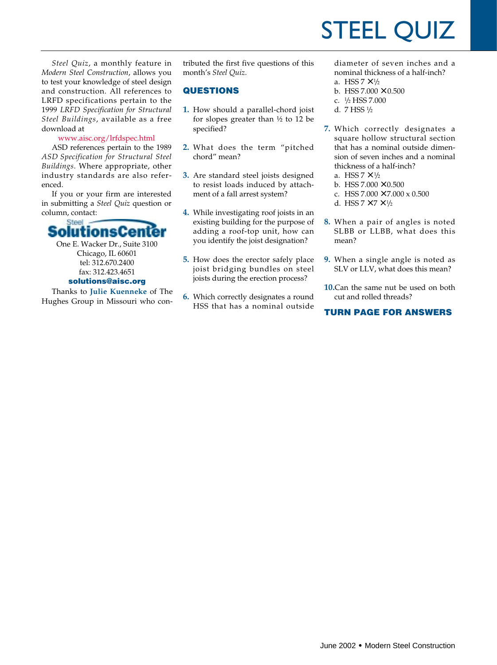# STEEL QUIZ

*Steel Quiz*, a monthly feature in *Modern Steel Construction*, allows you to test your knowledge of steel design and construction. All references to LRFD specifications pertain to the 1999 *LRFD Specification for Structural Steel Buildings*, available as a free download at

#### www.aisc.org/lrfdspec.html

ASD references pertain to the 1989 *ASD Specification for Structural Steel Buildings*. Where appropriate, other industry standards are also referenced.

If you or your firm are interested in submitting a *Steel Quiz* question or column, contact:



One E. Wacker Dr., Suite 3100 Chicago, IL 60601 tel: 312.670.2400 fax: 312.423.4651 **solutions@aisc.org**

Thanks to **Julie Kuenneke** of The Hughes Group in Missouri who con-

tributed the first five questions of this month's *Steel Quiz*.

### **QUESTIONS**

- **1.** How should a parallel-chord joist for slopes greater than ½ to 12 be specified?
- **2.** What does the term "pitched chord" mean?
- **3.** Are standard steel joists designed to resist loads induced by attachment of a fall arrest system?
- **4.** While investigating roof joists in an existing building for the purpose of adding a roof-top unit, how can you identify the joist designation?
- **5.** How does the erector safely place joist bridging bundles on steel joists during the erection process?
- **6.** Which correctly designates a round HSS that has a nominal outside

diameter of seven inches and a nominal thickness of a half-inch?

- a. HSS  $7 \times \frac{1}{2}$
- b. HSS  $7.000 \times 0.500$
- c. <sup>1</sup> /2 HSS 7.000
- d. 7 HSS 1 /2
- **7.** Which correctly designates a square hollow structural section that has a nominal outside dimension of seven inches and a nominal thickness of a half-inch? a. HSS  $7 \times \frac{1}{2}$ 
	- b. HSS  $7.000 \times 0.500$
	-
	- c. HSS  $7.000 \times 7.000 \times 0.500$
	- d. HSS  $7 \times 7 \times \frac{1}{2}$
- **8.** When a pair of angles is noted SLBB or LLBB, what does this mean?
- **9.** When a single angle is noted as SLV or LLV, what does this mean?
- **10.**Can the same nut be used on both cut and rolled threads?

## **TURN PAGE FOR ANSWERS**